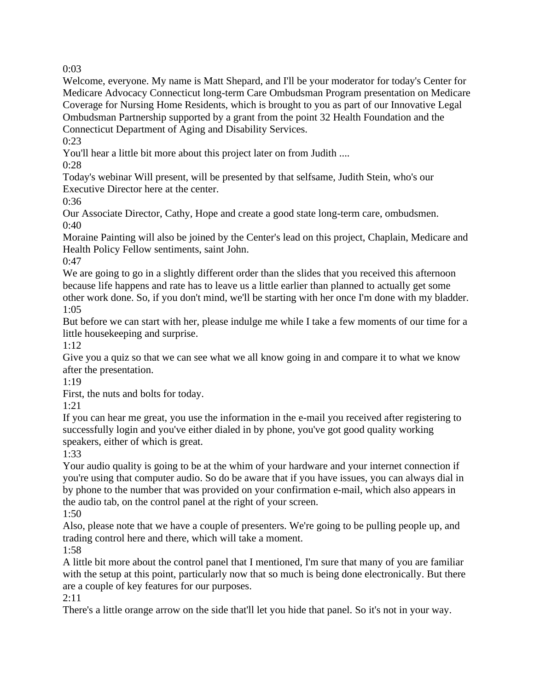Welcome, everyone. My name is Matt Shepard, and I'll be your moderator for today's Center for Medicare Advocacy Connecticut long-term Care Ombudsman Program presentation on Medicare Coverage for Nursing Home Residents, which is brought to you as part of our Innovative Legal Ombudsman Partnership supported by a grant from the point 32 Health Foundation and the Connecticut Department of Aging and Disability Services.

0:23

You'll hear a little bit more about this project later on from Judith ....

0:28

Today's webinar Will present, will be presented by that selfsame, Judith Stein, who's our Executive Director here at the center.

0:36

Our Associate Director, Cathy, Hope and create a good state long-term care, ombudsmen. 0:40

Moraine Painting will also be joined by the Center's lead on this project, Chaplain, Medicare and Health Policy Fellow sentiments, saint John.

0:47

We are going to go in a slightly different order than the slides that you received this afternoon because life happens and rate has to leave us a little earlier than planned to actually get some other work done. So, if you don't mind, we'll be starting with her once I'm done with my bladder. 1:05

But before we can start with her, please indulge me while I take a few moments of our time for a little housekeeping and surprise.

1:12

Give you a quiz so that we can see what we all know going in and compare it to what we know after the presentation.

1:19

First, the nuts and bolts for today.

1:21

If you can hear me great, you use the information in the e-mail you received after registering to successfully login and you've either dialed in by phone, you've got good quality working speakers, either of which is great.

1:33

Your audio quality is going to be at the whim of your hardware and your internet connection if you're using that computer audio. So do be aware that if you have issues, you can always dial in by phone to the number that was provided on your confirmation e-mail, which also appears in the audio tab, on the control panel at the right of your screen.

1:50

Also, please note that we have a couple of presenters. We're going to be pulling people up, and trading control here and there, which will take a moment.

1:58

A little bit more about the control panel that I mentioned, I'm sure that many of you are familiar with the setup at this point, particularly now that so much is being done electronically. But there are a couple of key features for our purposes.

2:11

There's a little orange arrow on the side that'll let you hide that panel. So it's not in your way.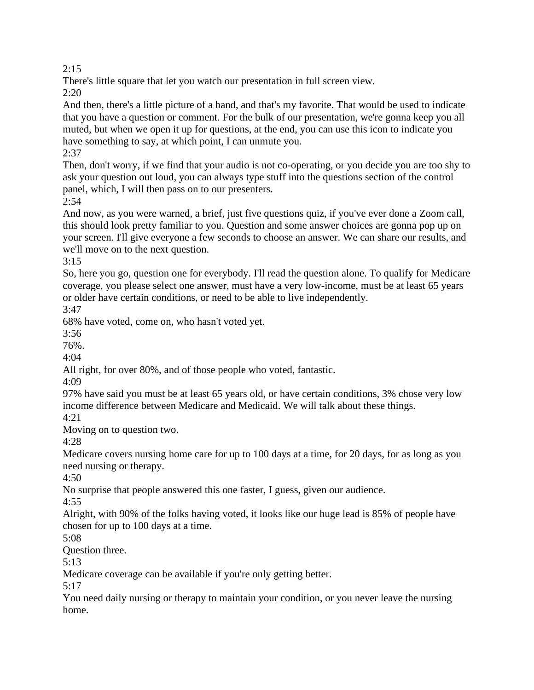There's little square that let you watch our presentation in full screen view.

2:20

And then, there's a little picture of a hand, and that's my favorite. That would be used to indicate that you have a question or comment. For the bulk of our presentation, we're gonna keep you all muted, but when we open it up for questions, at the end, you can use this icon to indicate you have something to say, at which point, I can unmute you.

2:37

Then, don't worry, if we find that your audio is not co-operating, or you decide you are too shy to ask your question out loud, you can always type stuff into the questions section of the control panel, which, I will then pass on to our presenters.

 $2:54$ 

And now, as you were warned, a brief, just five questions quiz, if you've ever done a Zoom call, this should look pretty familiar to you. Question and some answer choices are gonna pop up on your screen. I'll give everyone a few seconds to choose an answer. We can share our results, and we'll move on to the next question.

3:15

So, here you go, question one for everybody. I'll read the question alone. To qualify for Medicare coverage, you please select one answer, must have a very low-income, must be at least 65 years or older have certain conditions, or need to be able to live independently.

3:47

68% have voted, come on, who hasn't voted yet.

3:56

76%.

4:04

All right, for over 80%, and of those people who voted, fantastic.

4:09

97% have said you must be at least 65 years old, or have certain conditions, 3% chose very low income difference between Medicare and Medicaid. We will talk about these things. 4:21

Moving on to question two.

4:28

Medicare covers nursing home care for up to 100 days at a time, for 20 days, for as long as you need nursing or therapy.

4:50

No surprise that people answered this one faster, I guess, given our audience.

4:55

Alright, with 90% of the folks having voted, it looks like our huge lead is 85% of people have chosen for up to 100 days at a time.

5:08

Question three.

5:13

Medicare coverage can be available if you're only getting better.

5:17

You need daily nursing or therapy to maintain your condition, or you never leave the nursing home.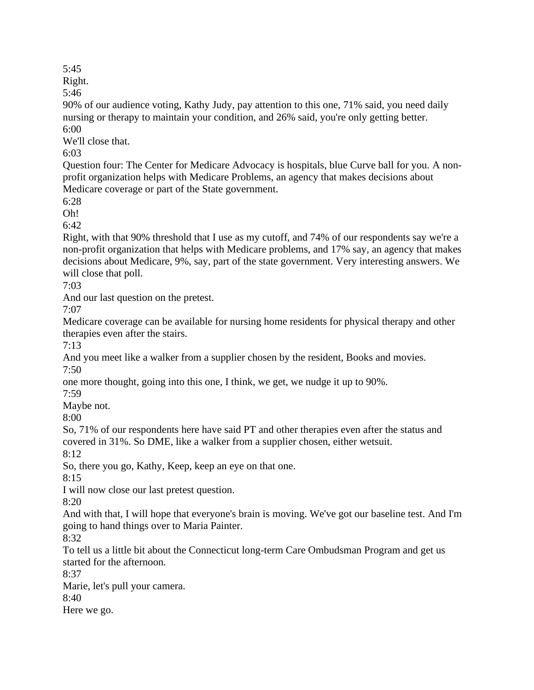Right.

5:46

90% of our audience voting, Kathy Judy, pay attention to this one, 71% said, you need daily nursing or therapy to maintain your condition, and 26% said, you're only getting better. 6:00

We'll close that.

6:03

Question four: The Center for Medicare Advocacy is hospitals, blue Curve ball for you. A nonprofit organization helps with Medicare Problems, an agency that makes decisions about Medicare coverage or part of the State government.

6:28

Oh!

6:42

Right, with that 90% threshold that I use as my cutoff, and 74% of our respondents say we're a non-profit organization that helps with Medicare problems, and 17% say, an agency that makes decisions about Medicare, 9%, say, part of the state government. Very interesting answers. We will close that poll.

7:03

And our last question on the pretest.

7:07

Medicare coverage can be available for nursing home residents for physical therapy and other therapies even after the stairs.

7:13

And you meet like a walker from a supplier chosen by the resident, Books and movies. 7:50

one more thought, going into this one, I think, we get, we nudge it up to 90%.

7:59

Maybe not.

8:00

So, 71% of our respondents here have said PT and other therapies even after the status and covered in 31%. So DME, like a walker from a supplier chosen, either wetsuit.

8:12

So, there you go, Kathy, Keep, keep an eye on that one.

8:15

I will now close our last pretest question.

8:20

And with that, I will hope that everyone's brain is moving. We've got our baseline test. And I'm going to hand things over to Maria Painter.

8:32

To tell us a little bit about the Connecticut long-term Care Ombudsman Program and get us started for the afternoon.

8:37

Marie, let's pull your camera.

8:40

Here we go.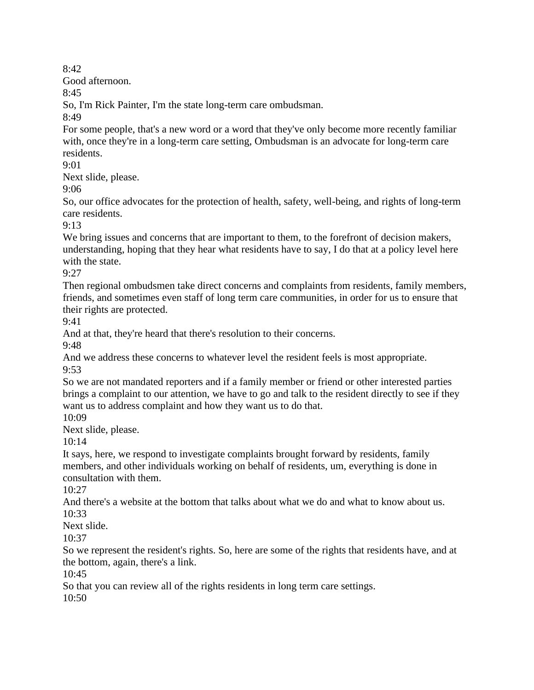Good afternoon.

8:45

So, I'm Rick Painter, I'm the state long-term care ombudsman.

8:49

For some people, that's a new word or a word that they've only become more recently familiar with, once they're in a long-term care setting, Ombudsman is an advocate for long-term care residents.

9:01

Next slide, please.

9:06

So, our office advocates for the protection of health, safety, well-being, and rights of long-term care residents.

9:13

We bring issues and concerns that are important to them, to the forefront of decision makers, understanding, hoping that they hear what residents have to say, I do that at a policy level here with the state.

9:27

Then regional ombudsmen take direct concerns and complaints from residents, family members, friends, and sometimes even staff of long term care communities, in order for us to ensure that their rights are protected.

9:41

And at that, they're heard that there's resolution to their concerns.

9:48

And we address these concerns to whatever level the resident feels is most appropriate. 9:53

So we are not mandated reporters and if a family member or friend or other interested parties brings a complaint to our attention, we have to go and talk to the resident directly to see if they want us to address complaint and how they want us to do that.

10:09

Next slide, please.

 $10:14$ 

It says, here, we respond to investigate complaints brought forward by residents, family members, and other individuals working on behalf of residents, um, everything is done in consultation with them.

10:27

And there's a website at the bottom that talks about what we do and what to know about us. 10:33

Next slide.

10:37

So we represent the resident's rights. So, here are some of the rights that residents have, and at the bottom, again, there's a link.

10:45

So that you can review all of the rights residents in long term care settings.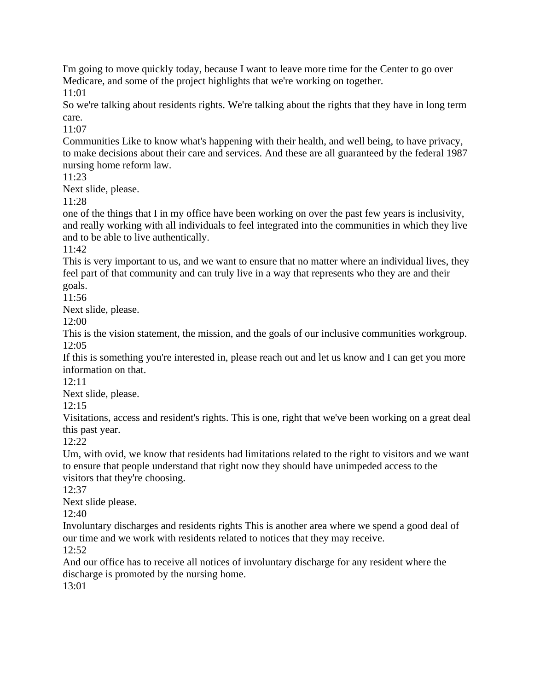I'm going to move quickly today, because I want to leave more time for the Center to go over Medicare, and some of the project highlights that we're working on together.

11:01

So we're talking about residents rights. We're talking about the rights that they have in long term care.

11:07

Communities Like to know what's happening with their health, and well being, to have privacy, to make decisions about their care and services. And these are all guaranteed by the federal 1987 nursing home reform law.

11:23

Next slide, please.

11:28

one of the things that I in my office have been working on over the past few years is inclusivity, and really working with all individuals to feel integrated into the communities in which they live and to be able to live authentically.

11:42

This is very important to us, and we want to ensure that no matter where an individual lives, they feel part of that community and can truly live in a way that represents who they are and their goals.

11:56

Next slide, please.

12:00

This is the vision statement, the mission, and the goals of our inclusive communities workgroup. 12:05

If this is something you're interested in, please reach out and let us know and I can get you more information on that.

12:11

Next slide, please.

12:15

Visitations, access and resident's rights. This is one, right that we've been working on a great deal this past year.

 $12:22$ 

Um, with ovid, we know that residents had limitations related to the right to visitors and we want to ensure that people understand that right now they should have unimpeded access to the visitors that they're choosing.

12:37

Next slide please.

12:40

Involuntary discharges and residents rights This is another area where we spend a good deal of our time and we work with residents related to notices that they may receive. 12:52

And our office has to receive all notices of involuntary discharge for any resident where the discharge is promoted by the nursing home.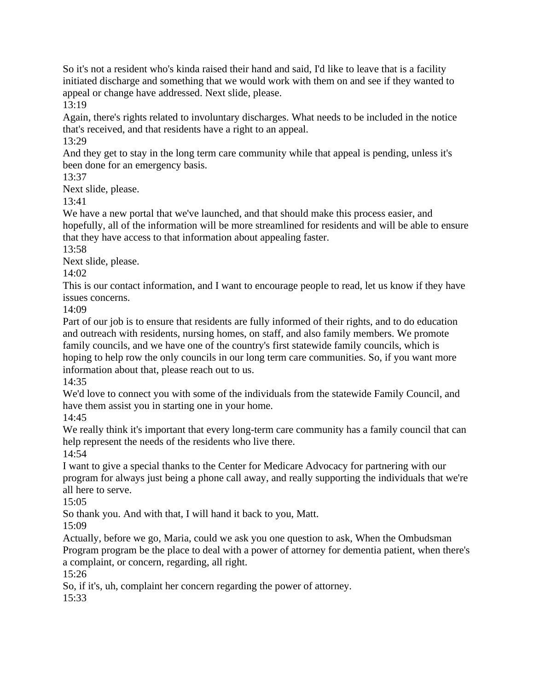So it's not a resident who's kinda raised their hand and said, I'd like to leave that is a facility initiated discharge and something that we would work with them on and see if they wanted to appeal or change have addressed. Next slide, please.

13:19

Again, there's rights related to involuntary discharges. What needs to be included in the notice that's received, and that residents have a right to an appeal.

13:29

And they get to stay in the long term care community while that appeal is pending, unless it's been done for an emergency basis.

13:37

Next slide, please.

13:41

We have a new portal that we've launched, and that should make this process easier, and hopefully, all of the information will be more streamlined for residents and will be able to ensure that they have access to that information about appealing faster.

13:58

Next slide, please.

14:02

This is our contact information, and I want to encourage people to read, let us know if they have issues concerns.

14:09

Part of our job is to ensure that residents are fully informed of their rights, and to do education and outreach with residents, nursing homes, on staff, and also family members. We promote family councils, and we have one of the country's first statewide family councils, which is hoping to help row the only councils in our long term care communities. So, if you want more information about that, please reach out to us.

14:35

We'd love to connect you with some of the individuals from the statewide Family Council, and have them assist you in starting one in your home.

14:45

We really think it's important that every long-term care community has a family council that can help represent the needs of the residents who live there.

14:54

I want to give a special thanks to the Center for Medicare Advocacy for partnering with our program for always just being a phone call away, and really supporting the individuals that we're all here to serve.

 $15:05$ 

So thank you. And with that, I will hand it back to you, Matt.

15:09

Actually, before we go, Maria, could we ask you one question to ask, When the Ombudsman Program program be the place to deal with a power of attorney for dementia patient, when there's a complaint, or concern, regarding, all right.

15:26

So, if it's, uh, complaint her concern regarding the power of attorney.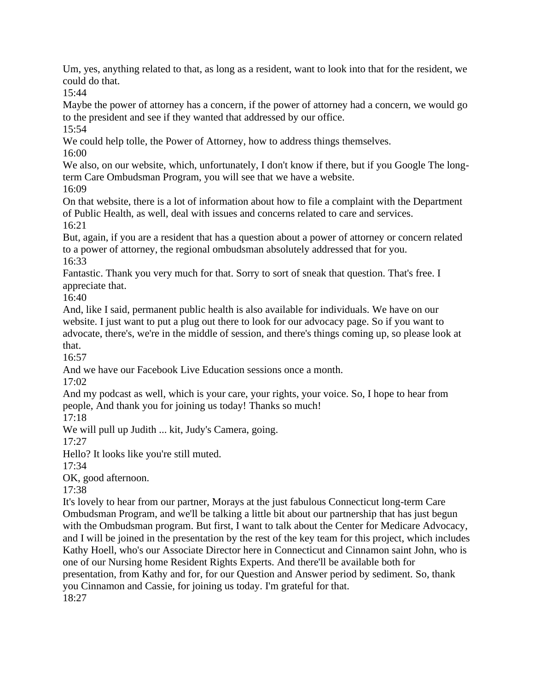Um, yes, anything related to that, as long as a resident, want to look into that for the resident, we could do that.

15:44

Maybe the power of attorney has a concern, if the power of attorney had a concern, we would go to the president and see if they wanted that addressed by our office.

15:54

We could help tolle, the Power of Attorney, how to address things themselves.

16:00

We also, on our website, which, unfortunately, I don't know if there, but if you Google The longterm Care Ombudsman Program, you will see that we have a website. 16:09

On that website, there is a lot of information about how to file a complaint with the Department of Public Health, as well, deal with issues and concerns related to care and services. 16:21

But, again, if you are a resident that has a question about a power of attorney or concern related to a power of attorney, the regional ombudsman absolutely addressed that for you. 16:33

Fantastic. Thank you very much for that. Sorry to sort of sneak that question. That's free. I appreciate that.

16:40

And, like I said, permanent public health is also available for individuals. We have on our website. I just want to put a plug out there to look for our advocacy page. So if you want to advocate, there's, we're in the middle of session, and there's things coming up, so please look at that.

16:57

And we have our Facebook Live Education sessions once a month.

17:02

And my podcast as well, which is your care, your rights, your voice. So, I hope to hear from people, And thank you for joining us today! Thanks so much!

17:18

We will pull up Judith ... kit, Judy's Camera, going.

17:27

Hello? It looks like you're still muted.

17:34

OK, good afternoon.

17:38

It's lovely to hear from our partner, Morays at the just fabulous Connecticut long-term Care Ombudsman Program, and we'll be talking a little bit about our partnership that has just begun with the Ombudsman program. But first, I want to talk about the Center for Medicare Advocacy, and I will be joined in the presentation by the rest of the key team for this project, which includes Kathy Hoell, who's our Associate Director here in Connecticut and Cinnamon saint John, who is one of our Nursing home Resident Rights Experts. And there'll be available both for presentation, from Kathy and for, for our Question and Answer period by sediment. So, thank you Cinnamon and Cassie, for joining us today. I'm grateful for that. 18:27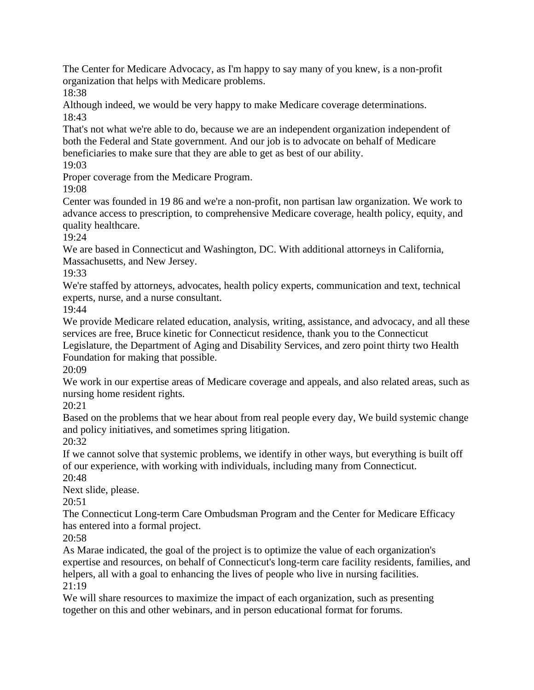The Center for Medicare Advocacy, as I'm happy to say many of you knew, is a non-profit organization that helps with Medicare problems.

18:38

Although indeed, we would be very happy to make Medicare coverage determinations. 18:43

That's not what we're able to do, because we are an independent organization independent of both the Federal and State government. And our job is to advocate on behalf of Medicare beneficiaries to make sure that they are able to get as best of our ability.

19:03

Proper coverage from the Medicare Program.

19:08

Center was founded in 19 86 and we're a non-profit, non partisan law organization. We work to advance access to prescription, to comprehensive Medicare coverage, health policy, equity, and quality healthcare.

19:24

We are based in Connecticut and Washington, DC. With additional attorneys in California, Massachusetts, and New Jersey.

19:33

We're staffed by attorneys, advocates, health policy experts, communication and text, technical experts, nurse, and a nurse consultant.

19:44

We provide Medicare related education, analysis, writing, assistance, and advocacy, and all these services are free, Bruce kinetic for Connecticut residence, thank you to the Connecticut Legislature, the Department of Aging and Disability Services, and zero point thirty two Health Foundation for making that possible.

20:09

We work in our expertise areas of Medicare coverage and appeals, and also related areas, such as nursing home resident rights.

20:21

Based on the problems that we hear about from real people every day, We build systemic change and policy initiatives, and sometimes spring litigation.

20:32

If we cannot solve that systemic problems, we identify in other ways, but everything is built off of our experience, with working with individuals, including many from Connecticut. 20:48

Next slide, please.

 $20:51$ 

The Connecticut Long-term Care Ombudsman Program and the Center for Medicare Efficacy has entered into a formal project.

20:58

As Marae indicated, the goal of the project is to optimize the value of each organization's expertise and resources, on behalf of Connecticut's long-term care facility residents, families, and helpers, all with a goal to enhancing the lives of people who live in nursing facilities. 21:19

We will share resources to maximize the impact of each organization, such as presenting together on this and other webinars, and in person educational format for forums.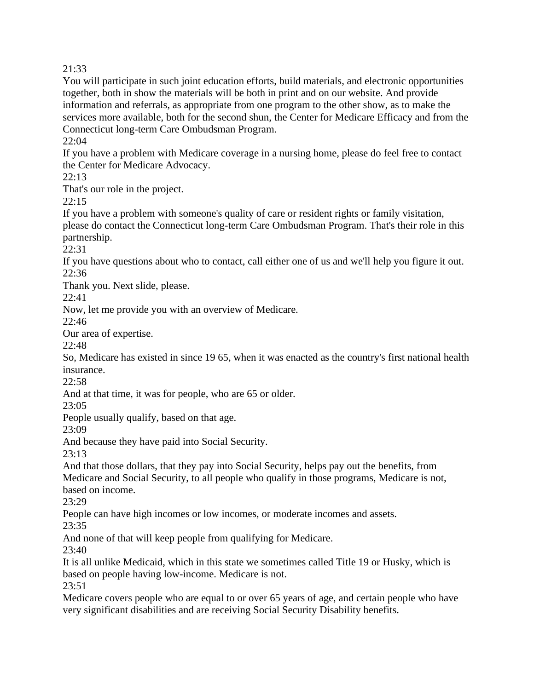You will participate in such joint education efforts, build materials, and electronic opportunities together, both in show the materials will be both in print and on our website. And provide information and referrals, as appropriate from one program to the other show, as to make the services more available, both for the second shun, the Center for Medicare Efficacy and from the Connecticut long-term Care Ombudsman Program.

22:04

If you have a problem with Medicare coverage in a nursing home, please do feel free to contact the Center for Medicare Advocacy.

22:13

That's our role in the project.

22:15

If you have a problem with someone's quality of care or resident rights or family visitation, please do contact the Connecticut long-term Care Ombudsman Program. That's their role in this partnership.

22:31

If you have questions about who to contact, call either one of us and we'll help you figure it out. 22:36

Thank you. Next slide, please.

22:41

Now, let me provide you with an overview of Medicare.

22:46

Our area of expertise.

22:48

So, Medicare has existed in since 19 65, when it was enacted as the country's first national health insurance.

22:58

And at that time, it was for people, who are 65 or older.

23:05

People usually qualify, based on that age.

23:09

And because they have paid into Social Security.

23:13

And that those dollars, that they pay into Social Security, helps pay out the benefits, from Medicare and Social Security, to all people who qualify in those programs, Medicare is not, based on income.

23:29

People can have high incomes or low incomes, or moderate incomes and assets.

23:35

And none of that will keep people from qualifying for Medicare.

23:40

It is all unlike Medicaid, which in this state we sometimes called Title 19 or Husky, which is based on people having low-income. Medicare is not.

23:51

Medicare covers people who are equal to or over 65 years of age, and certain people who have very significant disabilities and are receiving Social Security Disability benefits.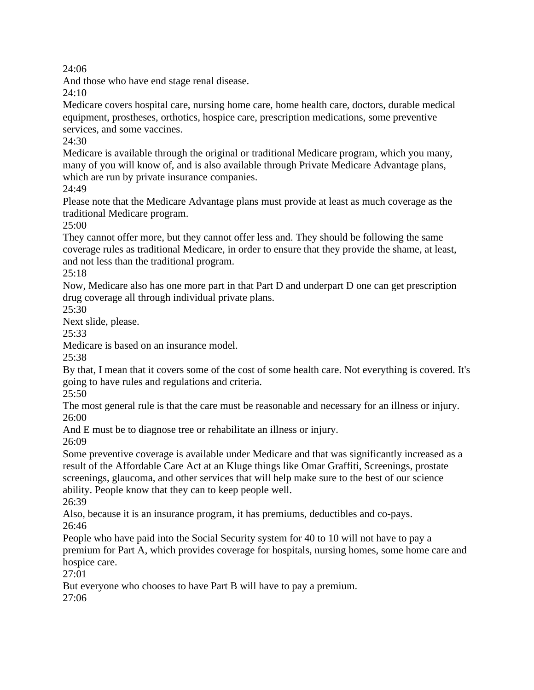And those who have end stage renal disease.

24:10

Medicare covers hospital care, nursing home care, home health care, doctors, durable medical equipment, prostheses, orthotics, hospice care, prescription medications, some preventive services, and some vaccines.

 $24:30$ 

Medicare is available through the original or traditional Medicare program, which you many, many of you will know of, and is also available through Private Medicare Advantage plans, which are run by private insurance companies.

24:49

Please note that the Medicare Advantage plans must provide at least as much coverage as the traditional Medicare program.

25:00

They cannot offer more, but they cannot offer less and. They should be following the same coverage rules as traditional Medicare, in order to ensure that they provide the shame, at least, and not less than the traditional program.

25:18

Now, Medicare also has one more part in that Part D and underpart D one can get prescription drug coverage all through individual private plans.

25:30

Next slide, please.

25:33

Medicare is based on an insurance model.

 $25:38$ 

By that, I mean that it covers some of the cost of some health care. Not everything is covered. It's going to have rules and regulations and criteria.

25:50

The most general rule is that the care must be reasonable and necessary for an illness or injury. 26:00

And E must be to diagnose tree or rehabilitate an illness or injury.

26:09

Some preventive coverage is available under Medicare and that was significantly increased as a result of the Affordable Care Act at an Kluge things like Omar Graffiti, Screenings, prostate screenings, glaucoma, and other services that will help make sure to the best of our science ability. People know that they can to keep people well.

26:39

Also, because it is an insurance program, it has premiums, deductibles and co-pays. 26:46

People who have paid into the Social Security system for 40 to 10 will not have to pay a premium for Part A, which provides coverage for hospitals, nursing homes, some home care and hospice care.

27:01

But everyone who chooses to have Part B will have to pay a premium.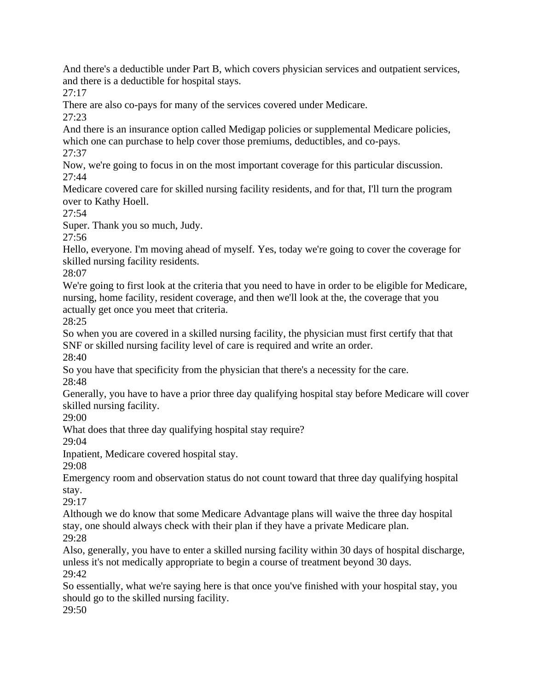And there's a deductible under Part B, which covers physician services and outpatient services, and there is a deductible for hospital stays.

27:17

There are also co-pays for many of the services covered under Medicare.

27:23

And there is an insurance option called Medigap policies or supplemental Medicare policies, which one can purchase to help cover those premiums, deductibles, and co-pays.

27:37

Now, we're going to focus in on the most important coverage for this particular discussion. 27:44

Medicare covered care for skilled nursing facility residents, and for that, I'll turn the program over to Kathy Hoell.

27:54

Super. Thank you so much, Judy.

27:56

Hello, everyone. I'm moving ahead of myself. Yes, today we're going to cover the coverage for skilled nursing facility residents.

28:07

We're going to first look at the criteria that you need to have in order to be eligible for Medicare, nursing, home facility, resident coverage, and then we'll look at the, the coverage that you actually get once you meet that criteria.

28:25

So when you are covered in a skilled nursing facility, the physician must first certify that that SNF or skilled nursing facility level of care is required and write an order.

28:40

So you have that specificity from the physician that there's a necessity for the care. 28:48

Generally, you have to have a prior three day qualifying hospital stay before Medicare will cover skilled nursing facility.

29:00

What does that three day qualifying hospital stay require?

29:04

Inpatient, Medicare covered hospital stay.

29:08

Emergency room and observation status do not count toward that three day qualifying hospital stay.

29:17

Although we do know that some Medicare Advantage plans will waive the three day hospital stay, one should always check with their plan if they have a private Medicare plan. 29:28

Also, generally, you have to enter a skilled nursing facility within 30 days of hospital discharge, unless it's not medically appropriate to begin a course of treatment beyond 30 days. 29:42

So essentially, what we're saying here is that once you've finished with your hospital stay, you should go to the skilled nursing facility.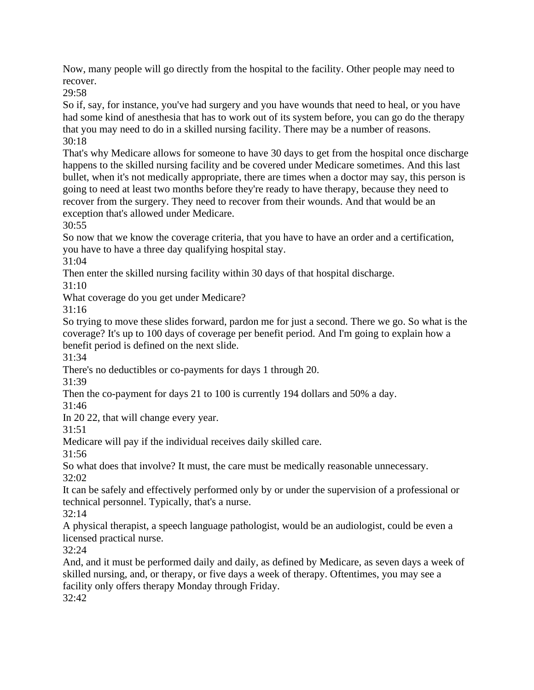Now, many people will go directly from the hospital to the facility. Other people may need to recover.

29:58

So if, say, for instance, you've had surgery and you have wounds that need to heal, or you have had some kind of anesthesia that has to work out of its system before, you can go do the therapy that you may need to do in a skilled nursing facility. There may be a number of reasons. 30:18

That's why Medicare allows for someone to have 30 days to get from the hospital once discharge happens to the skilled nursing facility and be covered under Medicare sometimes. And this last bullet, when it's not medically appropriate, there are times when a doctor may say, this person is going to need at least two months before they're ready to have therapy, because they need to recover from the surgery. They need to recover from their wounds. And that would be an exception that's allowed under Medicare.

30:55

So now that we know the coverage criteria, that you have to have an order and a certification, you have to have a three day qualifying hospital stay.

31:04

Then enter the skilled nursing facility within 30 days of that hospital discharge.

31:10

What coverage do you get under Medicare?

31:16

So trying to move these slides forward, pardon me for just a second. There we go. So what is the coverage? It's up to 100 days of coverage per benefit period. And I'm going to explain how a benefit period is defined on the next slide.

31:34

There's no deductibles or co-payments for days 1 through 20.

31:39

Then the co-payment for days 21 to 100 is currently 194 dollars and 50% a day.

31:46

In 20 22, that will change every year.

31:51

Medicare will pay if the individual receives daily skilled care.

31:56

So what does that involve? It must, the care must be medically reasonable unnecessary. 32:02

It can be safely and effectively performed only by or under the supervision of a professional or technical personnel. Typically, that's a nurse.

32:14

A physical therapist, a speech language pathologist, would be an audiologist, could be even a licensed practical nurse.

32:24

And, and it must be performed daily and daily, as defined by Medicare, as seven days a week of skilled nursing, and, or therapy, or five days a week of therapy. Oftentimes, you may see a facility only offers therapy Monday through Friday.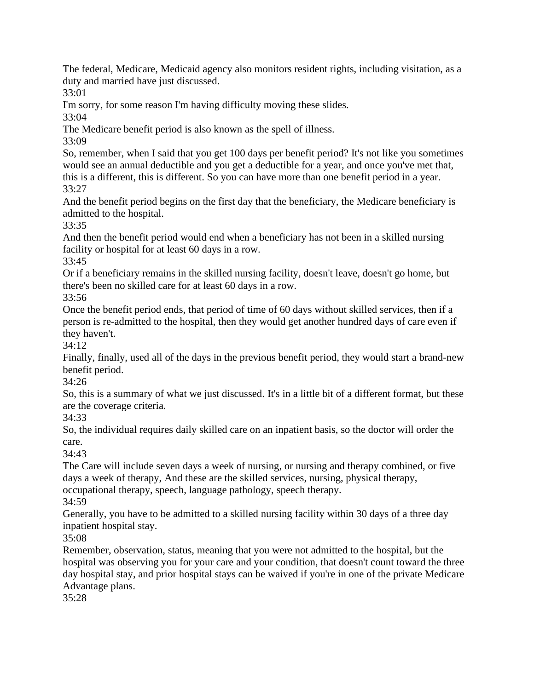The federal, Medicare, Medicaid agency also monitors resident rights, including visitation, as a duty and married have just discussed.

33:01

I'm sorry, for some reason I'm having difficulty moving these slides.

33:04

The Medicare benefit period is also known as the spell of illness.

33:09

So, remember, when I said that you get 100 days per benefit period? It's not like you sometimes would see an annual deductible and you get a deductible for a year, and once you've met that, this is a different, this is different. So you can have more than one benefit period in a year. 33:27

And the benefit period begins on the first day that the beneficiary, the Medicare beneficiary is admitted to the hospital.

33:35

And then the benefit period would end when a beneficiary has not been in a skilled nursing facility or hospital for at least 60 days in a row.

33:45

Or if a beneficiary remains in the skilled nursing facility, doesn't leave, doesn't go home, but there's been no skilled care for at least 60 days in a row.

33:56

Once the benefit period ends, that period of time of 60 days without skilled services, then if a person is re-admitted to the hospital, then they would get another hundred days of care even if they haven't.

34:12

Finally, finally, used all of the days in the previous benefit period, they would start a brand-new benefit period.

34:26

So, this is a summary of what we just discussed. It's in a little bit of a different format, but these are the coverage criteria.

34:33

So, the individual requires daily skilled care on an inpatient basis, so the doctor will order the care.

34:43

The Care will include seven days a week of nursing, or nursing and therapy combined, or five days a week of therapy, And these are the skilled services, nursing, physical therapy, occupational therapy, speech, language pathology, speech therapy.

34:59

Generally, you have to be admitted to a skilled nursing facility within 30 days of a three day inpatient hospital stay.

35:08

Remember, observation, status, meaning that you were not admitted to the hospital, but the hospital was observing you for your care and your condition, that doesn't count toward the three day hospital stay, and prior hospital stays can be waived if you're in one of the private Medicare Advantage plans.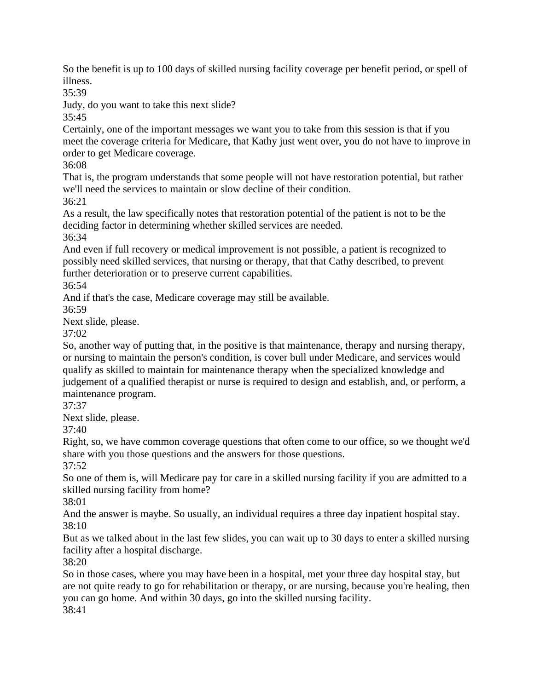So the benefit is up to 100 days of skilled nursing facility coverage per benefit period, or spell of illness.

35:39

Judy, do you want to take this next slide?

35:45

Certainly, one of the important messages we want you to take from this session is that if you meet the coverage criteria for Medicare, that Kathy just went over, you do not have to improve in order to get Medicare coverage.

36:08

That is, the program understands that some people will not have restoration potential, but rather we'll need the services to maintain or slow decline of their condition. 36:21

As a result, the law specifically notes that restoration potential of the patient is not to be the deciding factor in determining whether skilled services are needed.

36:34

And even if full recovery or medical improvement is not possible, a patient is recognized to possibly need skilled services, that nursing or therapy, that that Cathy described, to prevent further deterioration or to preserve current capabilities.

36:54

And if that's the case, Medicare coverage may still be available.

36:59

Next slide, please.

37:02

So, another way of putting that, in the positive is that maintenance, therapy and nursing therapy, or nursing to maintain the person's condition, is cover bull under Medicare, and services would qualify as skilled to maintain for maintenance therapy when the specialized knowledge and judgement of a qualified therapist or nurse is required to design and establish, and, or perform, a maintenance program.

37:37

Next slide, please.

37:40

Right, so, we have common coverage questions that often come to our office, so we thought we'd share with you those questions and the answers for those questions.

37:52

So one of them is, will Medicare pay for care in a skilled nursing facility if you are admitted to a skilled nursing facility from home?

38:01

And the answer is maybe. So usually, an individual requires a three day inpatient hospital stay. 38:10

But as we talked about in the last few slides, you can wait up to 30 days to enter a skilled nursing facility after a hospital discharge.

38:20

So in those cases, where you may have been in a hospital, met your three day hospital stay, but are not quite ready to go for rehabilitation or therapy, or are nursing, because you're healing, then you can go home. And within 30 days, go into the skilled nursing facility.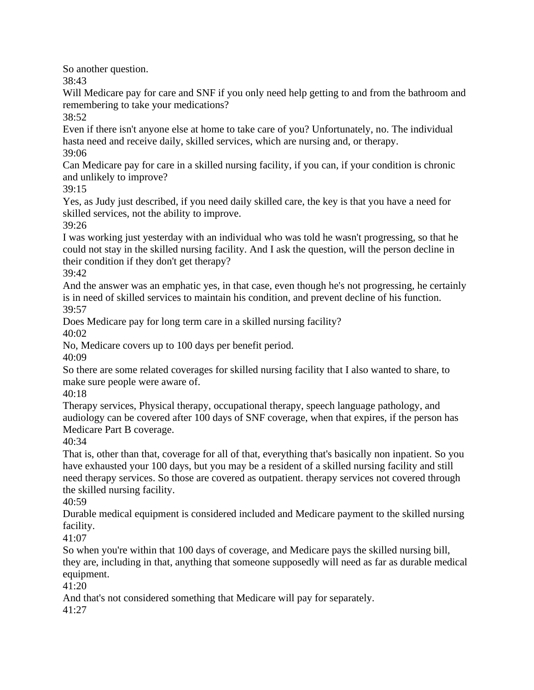So another question.

38:43

Will Medicare pay for care and SNF if you only need help getting to and from the bathroom and remembering to take your medications?

38:52

Even if there isn't anyone else at home to take care of you? Unfortunately, no. The individual hasta need and receive daily, skilled services, which are nursing and, or therapy.

39:06

Can Medicare pay for care in a skilled nursing facility, if you can, if your condition is chronic and unlikely to improve?

39:15

Yes, as Judy just described, if you need daily skilled care, the key is that you have a need for skilled services, not the ability to improve.

39:26

I was working just yesterday with an individual who was told he wasn't progressing, so that he could not stay in the skilled nursing facility. And I ask the question, will the person decline in their condition if they don't get therapy?

39:42

And the answer was an emphatic yes, in that case, even though he's not progressing, he certainly is in need of skilled services to maintain his condition, and prevent decline of his function. 39:57

Does Medicare pay for long term care in a skilled nursing facility?

40:02

No, Medicare covers up to 100 days per benefit period.

40:09

So there are some related coverages for skilled nursing facility that I also wanted to share, to make sure people were aware of.

40:18

Therapy services, Physical therapy, occupational therapy, speech language pathology, and audiology can be covered after 100 days of SNF coverage, when that expires, if the person has Medicare Part B coverage.

40:34

That is, other than that, coverage for all of that, everything that's basically non inpatient. So you have exhausted your 100 days, but you may be a resident of a skilled nursing facility and still need therapy services. So those are covered as outpatient. therapy services not covered through the skilled nursing facility.

40:59

Durable medical equipment is considered included and Medicare payment to the skilled nursing facility.

41:07

So when you're within that 100 days of coverage, and Medicare pays the skilled nursing bill, they are, including in that, anything that someone supposedly will need as far as durable medical equipment.

41:20

And that's not considered something that Medicare will pay for separately.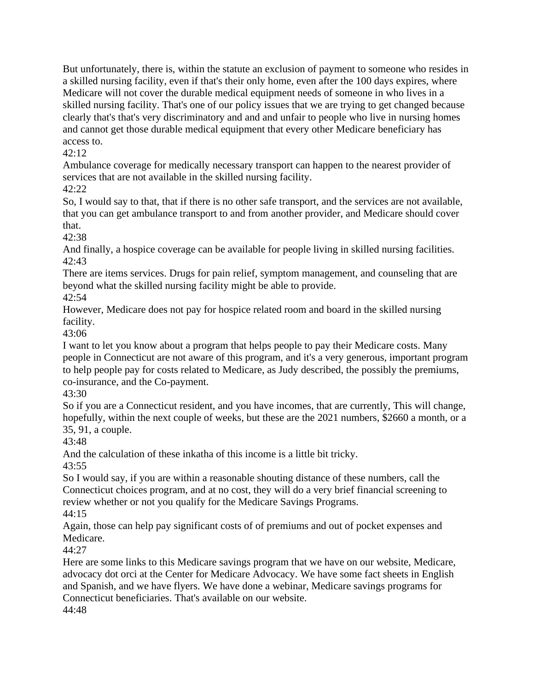But unfortunately, there is, within the statute an exclusion of payment to someone who resides in a skilled nursing facility, even if that's their only home, even after the 100 days expires, where Medicare will not cover the durable medical equipment needs of someone in who lives in a skilled nursing facility. That's one of our policy issues that we are trying to get changed because clearly that's that's very discriminatory and and and unfair to people who live in nursing homes and cannot get those durable medical equipment that every other Medicare beneficiary has access to.

## 42:12

Ambulance coverage for medically necessary transport can happen to the nearest provider of services that are not available in the skilled nursing facility.

## 42:22

So, I would say to that, that if there is no other safe transport, and the services are not available, that you can get ambulance transport to and from another provider, and Medicare should cover that.

42:38

And finally, a hospice coverage can be available for people living in skilled nursing facilities.  $42:43$ 

There are items services. Drugs for pain relief, symptom management, and counseling that are beyond what the skilled nursing facility might be able to provide.

42:54

However, Medicare does not pay for hospice related room and board in the skilled nursing facility.

43:06

I want to let you know about a program that helps people to pay their Medicare costs. Many people in Connecticut are not aware of this program, and it's a very generous, important program to help people pay for costs related to Medicare, as Judy described, the possibly the premiums, co-insurance, and the Co-payment.

43:30

So if you are a Connecticut resident, and you have incomes, that are currently, This will change, hopefully, within the next couple of weeks, but these are the 2021 numbers, \$2660 a month, or a 35, 91, a couple.

43:48

And the calculation of these inkatha of this income is a little bit tricky.

43:55

So I would say, if you are within a reasonable shouting distance of these numbers, call the Connecticut choices program, and at no cost, they will do a very brief financial screening to review whether or not you qualify for the Medicare Savings Programs.

44:15

Again, those can help pay significant costs of of premiums and out of pocket expenses and Medicare.

44:27

Here are some links to this Medicare savings program that we have on our website, Medicare, advocacy dot orci at the Center for Medicare Advocacy. We have some fact sheets in English and Spanish, and we have flyers. We have done a webinar, Medicare savings programs for Connecticut beneficiaries. That's available on our website.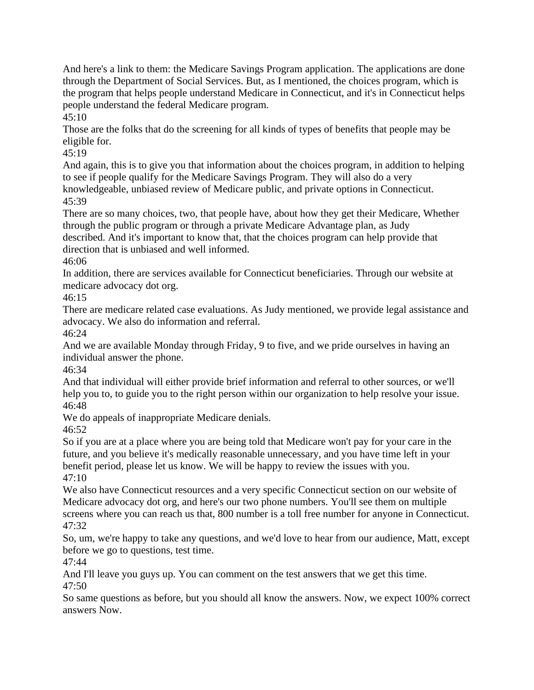And here's a link to them: the Medicare Savings Program application. The applications are done through the Department of Social Services. But, as I mentioned, the choices program, which is the program that helps people understand Medicare in Connecticut, and it's in Connecticut helps people understand the federal Medicare program.

 $45:10$ 

Those are the folks that do the screening for all kinds of types of benefits that people may be eligible for.

45:19

And again, this is to give you that information about the choices program, in addition to helping to see if people qualify for the Medicare Savings Program. They will also do a very knowledgeable, unbiased review of Medicare public, and private options in Connecticut. 45:39

There are so many choices, two, that people have, about how they get their Medicare, Whether through the public program or through a private Medicare Advantage plan, as Judy described. And it's important to know that, that the choices program can help provide that

direction that is unbiased and well informed.

46:06

In addition, there are services available for Connecticut beneficiaries. Through our website at medicare advocacy dot org.

46:15

There are medicare related case evaluations. As Judy mentioned, we provide legal assistance and advocacy. We also do information and referral.

46:24

And we are available Monday through Friday, 9 to five, and we pride ourselves in having an individual answer the phone.

46:34

And that individual will either provide brief information and referral to other sources, or we'll help you to, to guide you to the right person within our organization to help resolve your issue. 46:48

We do appeals of inappropriate Medicare denials.

46:52

So if you are at a place where you are being told that Medicare won't pay for your care in the future, and you believe it's medically reasonable unnecessary, and you have time left in your benefit period, please let us know. We will be happy to review the issues with you. 47:10

We also have Connecticut resources and a very specific Connecticut section on our website of Medicare advocacy dot org, and here's our two phone numbers. You'll see them on multiple screens where you can reach us that, 800 number is a toll free number for anyone in Connecticut. 47:32

So, um, we're happy to take any questions, and we'd love to hear from our audience, Matt, except before we go to questions, test time.

47:44

And I'll leave you guys up. You can comment on the test answers that we get this time. 47:50

So same questions as before, but you should all know the answers. Now, we expect 100% correct answers Now.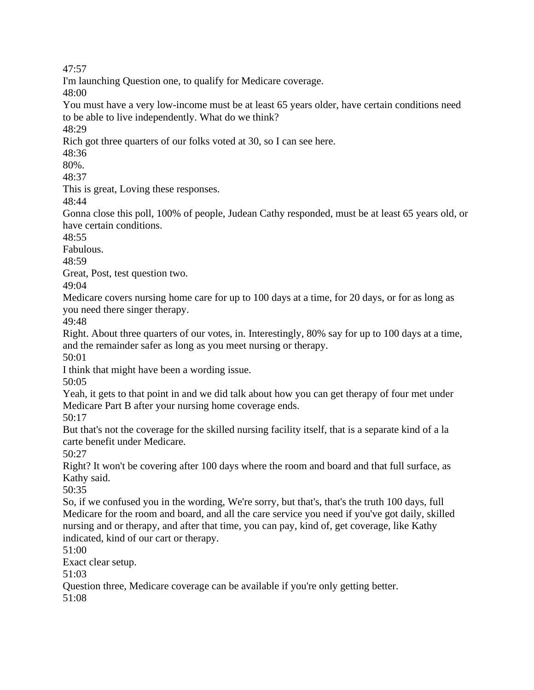I'm launching Question one, to qualify for Medicare coverage.

48:00

You must have a very low-income must be at least 65 years older, have certain conditions need to be able to live independently. What do we think?

48:29

Rich got three quarters of our folks voted at 30, so I can see here.

48:36

80%.

48:37

This is great, Loving these responses.

48:44

Gonna close this poll, 100% of people, Judean Cathy responded, must be at least 65 years old, or have certain conditions.

 $48:55$ 

Fabulous.

 $48.59$ 

Great, Post, test question two.

49:04

Medicare covers nursing home care for up to 100 days at a time, for 20 days, or for as long as you need there singer therapy.

49:48

Right. About three quarters of our votes, in. Interestingly, 80% say for up to 100 days at a time, and the remainder safer as long as you meet nursing or therapy.

50:01

I think that might have been a wording issue.

50:05

Yeah, it gets to that point in and we did talk about how you can get therapy of four met under Medicare Part B after your nursing home coverage ends.

50:17

But that's not the coverage for the skilled nursing facility itself, that is a separate kind of a la carte benefit under Medicare.

50:27

Right? It won't be covering after 100 days where the room and board and that full surface, as Kathy said.

50:35

So, if we confused you in the wording, We're sorry, but that's, that's the truth 100 days, full Medicare for the room and board, and all the care service you need if you've got daily, skilled nursing and or therapy, and after that time, you can pay, kind of, get coverage, like Kathy indicated, kind of our cart or therapy.

51:00

Exact clear setup.

51:03

Question three, Medicare coverage can be available if you're only getting better.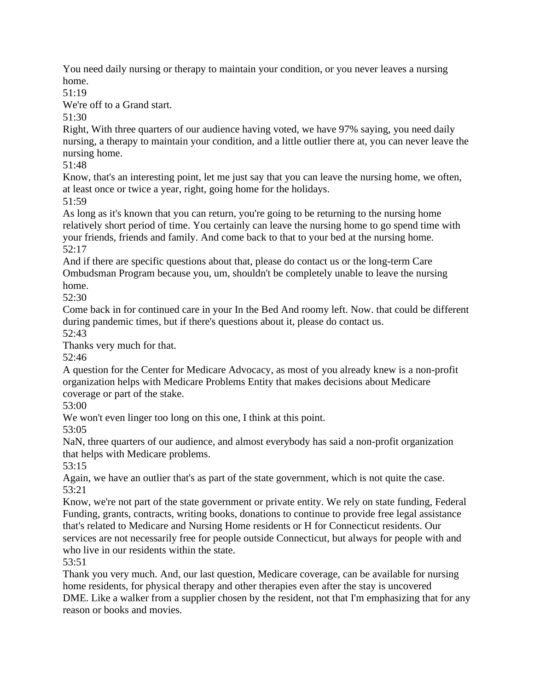You need daily nursing or therapy to maintain your condition, or you never leaves a nursing home.

51:19

We're off to a Grand start.

51:30

Right, With three quarters of our audience having voted, we have 97% saying, you need daily nursing, a therapy to maintain your condition, and a little outlier there at, you can never leave the nursing home.

51:48

Know, that's an interesting point, let me just say that you can leave the nursing home, we often, at least once or twice a year, right, going home for the holidays.

51:59

As long as it's known that you can return, you're going to be returning to the nursing home relatively short period of time. You certainly can leave the nursing home to go spend time with your friends, friends and family. And come back to that to your bed at the nursing home. 52:17

And if there are specific questions about that, please do contact us or the long-term Care Ombudsman Program because you, um, shouldn't be completely unable to leave the nursing home.

52:30

Come back in for continued care in your In the Bed And roomy left. Now. that could be different during pandemic times, but if there's questions about it, please do contact us.

52:43

Thanks very much for that.

52:46

A question for the Center for Medicare Advocacy, as most of you already knew is a non-profit organization helps with Medicare Problems Entity that makes decisions about Medicare coverage or part of the stake.

53:00

We won't even linger too long on this one, I think at this point.

53:05

NaN, three quarters of our audience, and almost everybody has said a non-profit organization that helps with Medicare problems.

53:15

Again, we have an outlier that's as part of the state government, which is not quite the case. 53:21

Know, we're not part of the state government or private entity. We rely on state funding, Federal Funding, grants, contracts, writing books, donations to continue to provide free legal assistance that's related to Medicare and Nursing Home residents or H for Connecticut residents. Our services are not necessarily free for people outside Connecticut, but always for people with and who live in our residents within the state.

53:51

Thank you very much. And, our last question, Medicare coverage, can be available for nursing home residents, for physical therapy and other therapies even after the stay is uncovered DME. Like a walker from a supplier chosen by the resident, not that I'm emphasizing that for any reason or books and movies.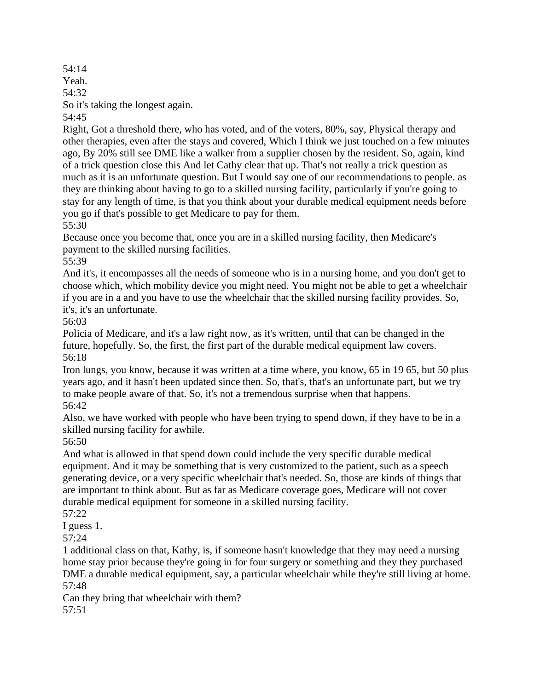54:14 Yeah. 54:32 So it's taking the longest again. 54:45

Right, Got a threshold there, who has voted, and of the voters, 80%, say, Physical therapy and other therapies, even after the stays and covered, Which I think we just touched on a few minutes ago, By 20% still see DME like a walker from a supplier chosen by the resident. So, again, kind of a trick question close this And let Cathy clear that up. That's not really a trick question as much as it is an unfortunate question. But I would say one of our recommendations to people. as they are thinking about having to go to a skilled nursing facility, particularly if you're going to stay for any length of time, is that you think about your durable medical equipment needs before you go if that's possible to get Medicare to pay for them.

55:30

Because once you become that, once you are in a skilled nursing facility, then Medicare's payment to the skilled nursing facilities.

55:39

And it's, it encompasses all the needs of someone who is in a nursing home, and you don't get to choose which, which mobility device you might need. You might not be able to get a wheelchair if you are in a and you have to use the wheelchair that the skilled nursing facility provides. So, it's, it's an unfortunate.

56:03

Policia of Medicare, and it's a law right now, as it's written, until that can be changed in the future, hopefully. So, the first, the first part of the durable medical equipment law covers. 56:18

Iron lungs, you know, because it was written at a time where, you know, 65 in 19 65, but 50 plus years ago, and it hasn't been updated since then. So, that's, that's an unfortunate part, but we try to make people aware of that. So, it's not a tremendous surprise when that happens. 56:42

Also, we have worked with people who have been trying to spend down, if they have to be in a skilled nursing facility for awhile.

56:50

And what is allowed in that spend down could include the very specific durable medical equipment. And it may be something that is very customized to the patient, such as a speech generating device, or a very specific wheelchair that's needed. So, those are kinds of things that are important to think about. But as far as Medicare coverage goes, Medicare will not cover durable medical equipment for someone in a skilled nursing facility.

57:22

I guess 1.

57:24

1 additional class on that, Kathy, is, if someone hasn't knowledge that they may need a nursing home stay prior because they're going in for four surgery or something and they they purchased DME a durable medical equipment, say, a particular wheelchair while they're still living at home. 57:48

Can they bring that wheelchair with them? 57:51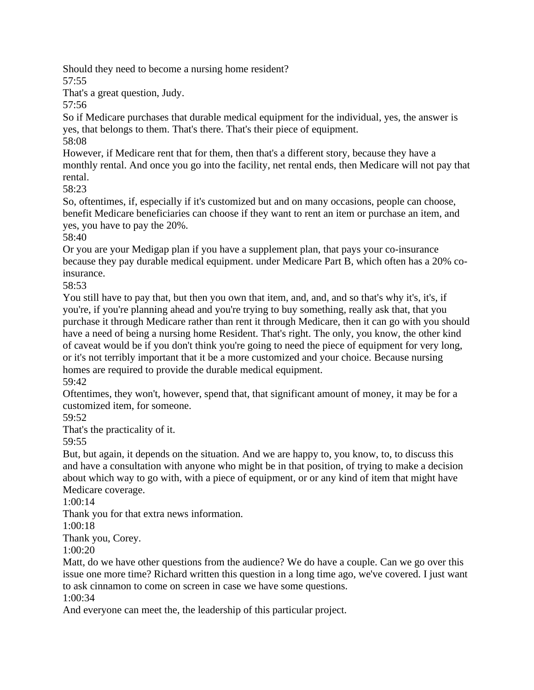Should they need to become a nursing home resident? 57:55

That's a great question, Judy.

57:56

So if Medicare purchases that durable medical equipment for the individual, yes, the answer is yes, that belongs to them. That's there. That's their piece of equipment. 58:08

However, if Medicare rent that for them, then that's a different story, because they have a monthly rental. And once you go into the facility, net rental ends, then Medicare will not pay that rental.

58:23

So, oftentimes, if, especially if it's customized but and on many occasions, people can choose, benefit Medicare beneficiaries can choose if they want to rent an item or purchase an item, and yes, you have to pay the 20%.

58:40

Or you are your Medigap plan if you have a supplement plan, that pays your co-insurance because they pay durable medical equipment. under Medicare Part B, which often has a 20% coinsurance.

58:53

You still have to pay that, but then you own that item, and, and, and so that's why it's, it's, if you're, if you're planning ahead and you're trying to buy something, really ask that, that you purchase it through Medicare rather than rent it through Medicare, then it can go with you should have a need of being a nursing home Resident. That's right. The only, you know, the other kind of caveat would be if you don't think you're going to need the piece of equipment for very long, or it's not terribly important that it be a more customized and your choice. Because nursing homes are required to provide the durable medical equipment.

59:42

Oftentimes, they won't, however, spend that, that significant amount of money, it may be for a customized item, for someone.

59:52

That's the practicality of it.

59:55

But, but again, it depends on the situation. And we are happy to, you know, to, to discuss this and have a consultation with anyone who might be in that position, of trying to make a decision about which way to go with, with a piece of equipment, or or any kind of item that might have Medicare coverage.

1:00:14

Thank you for that extra news information.

1:00:18

Thank you, Corey.

1:00:20

Matt, do we have other questions from the audience? We do have a couple. Can we go over this issue one more time? Richard written this question in a long time ago, we've covered. I just want to ask cinnamon to come on screen in case we have some questions.

1:00:34

And everyone can meet the, the leadership of this particular project.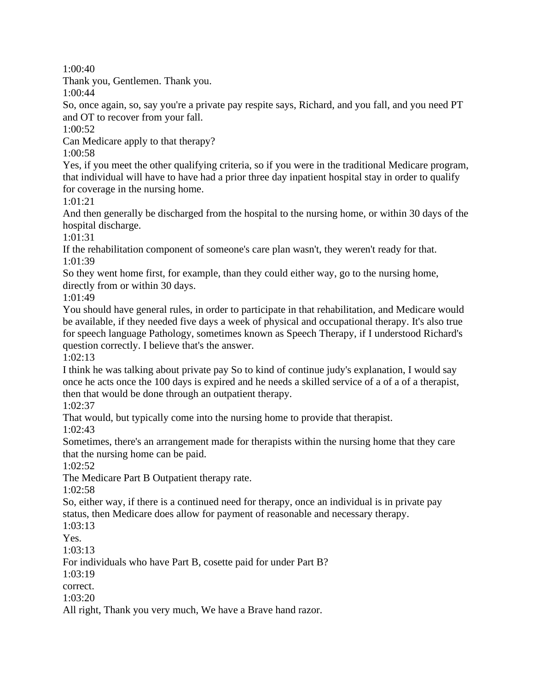1:00:40

Thank you, Gentlemen. Thank you.

1:00:44

So, once again, so, say you're a private pay respite says, Richard, and you fall, and you need PT and OT to recover from your fall.

1:00:52

Can Medicare apply to that therapy?

1:00:58

Yes, if you meet the other qualifying criteria, so if you were in the traditional Medicare program, that individual will have to have had a prior three day inpatient hospital stay in order to qualify for coverage in the nursing home.

1:01:21

And then generally be discharged from the hospital to the nursing home, or within 30 days of the hospital discharge.

1:01:31

If the rehabilitation component of someone's care plan wasn't, they weren't ready for that. 1:01:39

So they went home first, for example, than they could either way, go to the nursing home, directly from or within 30 days.

1:01:49

You should have general rules, in order to participate in that rehabilitation, and Medicare would be available, if they needed five days a week of physical and occupational therapy. It's also true for speech language Pathology, sometimes known as Speech Therapy, if I understood Richard's question correctly. I believe that's the answer.

1:02:13

I think he was talking about private pay So to kind of continue judy's explanation, I would say once he acts once the 100 days is expired and he needs a skilled service of a of a of a therapist, then that would be done through an outpatient therapy.

1:02:37

That would, but typically come into the nursing home to provide that therapist.

1:02:43

Sometimes, there's an arrangement made for therapists within the nursing home that they care that the nursing home can be paid.

1:02:52

The Medicare Part B Outpatient therapy rate.

1:02:58

So, either way, if there is a continued need for therapy, once an individual is in private pay status, then Medicare does allow for payment of reasonable and necessary therapy.

1:03:13

Yes.

1:03:13

For individuals who have Part B, cosette paid for under Part B?

1:03:19

correct.

1:03:20

All right, Thank you very much, We have a Brave hand razor.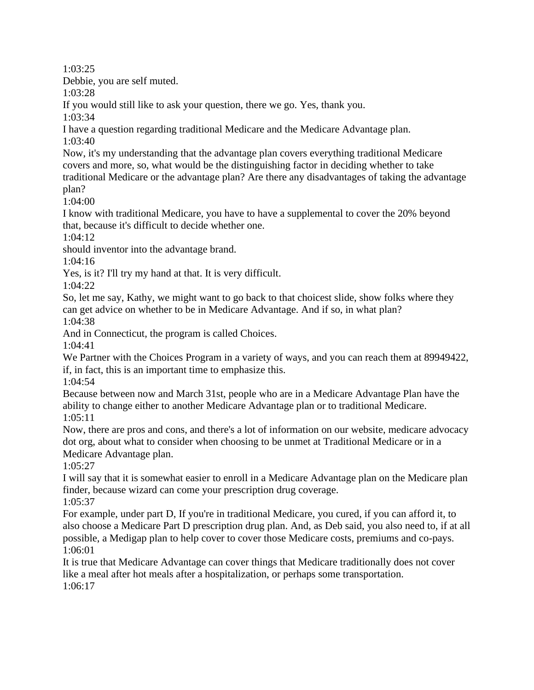1:03:25

Debbie, you are self muted.

1:03:28

If you would still like to ask your question, there we go. Yes, thank you.

1:03:34

I have a question regarding traditional Medicare and the Medicare Advantage plan. 1:03:40

Now, it's my understanding that the advantage plan covers everything traditional Medicare covers and more, so, what would be the distinguishing factor in deciding whether to take traditional Medicare or the advantage plan? Are there any disadvantages of taking the advantage plan?

1:04:00

I know with traditional Medicare, you have to have a supplemental to cover the 20% beyond that, because it's difficult to decide whether one.

1:04:12

should inventor into the advantage brand.

1:04:16

Yes, is it? I'll try my hand at that. It is very difficult.

1:04:22

So, let me say, Kathy, we might want to go back to that choicest slide, show folks where they can get advice on whether to be in Medicare Advantage. And if so, in what plan? 1:04:38

And in Connecticut, the program is called Choices.

1:04:41

We Partner with the Choices Program in a variety of ways, and you can reach them at 89949422, if, in fact, this is an important time to emphasize this.

1:04:54

Because between now and March 31st, people who are in a Medicare Advantage Plan have the ability to change either to another Medicare Advantage plan or to traditional Medicare. 1:05:11

Now, there are pros and cons, and there's a lot of information on our website, medicare advocacy dot org, about what to consider when choosing to be unmet at Traditional Medicare or in a Medicare Advantage plan.

1:05:27

I will say that it is somewhat easier to enroll in a Medicare Advantage plan on the Medicare plan finder, because wizard can come your prescription drug coverage. 1:05:37

For example, under part D, If you're in traditional Medicare, you cured, if you can afford it, to also choose a Medicare Part D prescription drug plan. And, as Deb said, you also need to, if at all possible, a Medigap plan to help cover to cover those Medicare costs, premiums and co-pays. 1:06:01

It is true that Medicare Advantage can cover things that Medicare traditionally does not cover like a meal after hot meals after a hospitalization, or perhaps some transportation. 1:06:17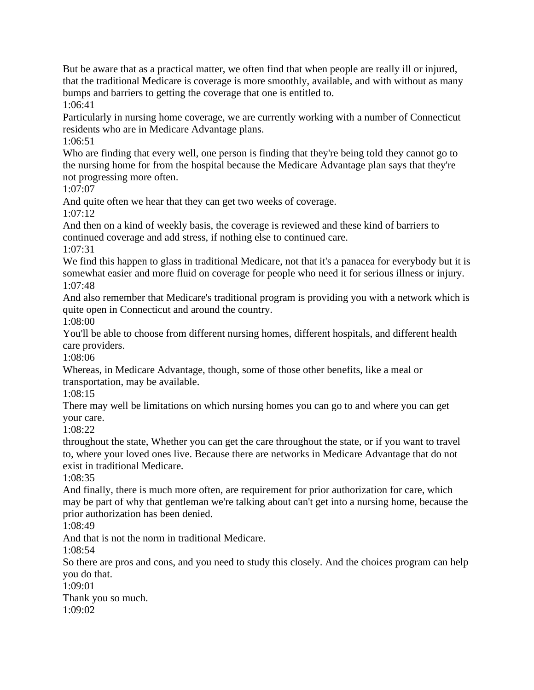But be aware that as a practical matter, we often find that when people are really ill or injured, that the traditional Medicare is coverage is more smoothly, available, and with without as many bumps and barriers to getting the coverage that one is entitled to.

1:06:41

Particularly in nursing home coverage, we are currently working with a number of Connecticut residents who are in Medicare Advantage plans.

1:06:51

Who are finding that every well, one person is finding that they're being told they cannot go to the nursing home for from the hospital because the Medicare Advantage plan says that they're not progressing more often.

1:07:07

And quite often we hear that they can get two weeks of coverage.

1:07:12

And then on a kind of weekly basis, the coverage is reviewed and these kind of barriers to continued coverage and add stress, if nothing else to continued care.

1:07:31

We find this happen to glass in traditional Medicare, not that it's a panacea for everybody but it is somewhat easier and more fluid on coverage for people who need it for serious illness or injury. 1:07:48

And also remember that Medicare's traditional program is providing you with a network which is quite open in Connecticut and around the country.

1:08:00

You'll be able to choose from different nursing homes, different hospitals, and different health care providers.

1:08:06

Whereas, in Medicare Advantage, though, some of those other benefits, like a meal or transportation, may be available.

1:08:15

There may well be limitations on which nursing homes you can go to and where you can get your care.

1:08:22

throughout the state, Whether you can get the care throughout the state, or if you want to travel to, where your loved ones live. Because there are networks in Medicare Advantage that do not exist in traditional Medicare.

1:08:35

And finally, there is much more often, are requirement for prior authorization for care, which may be part of why that gentleman we're talking about can't get into a nursing home, because the prior authorization has been denied.

1:08:49

And that is not the norm in traditional Medicare.

1:08:54

So there are pros and cons, and you need to study this closely. And the choices program can help you do that.

1:09:01

Thank you so much. 1:09:02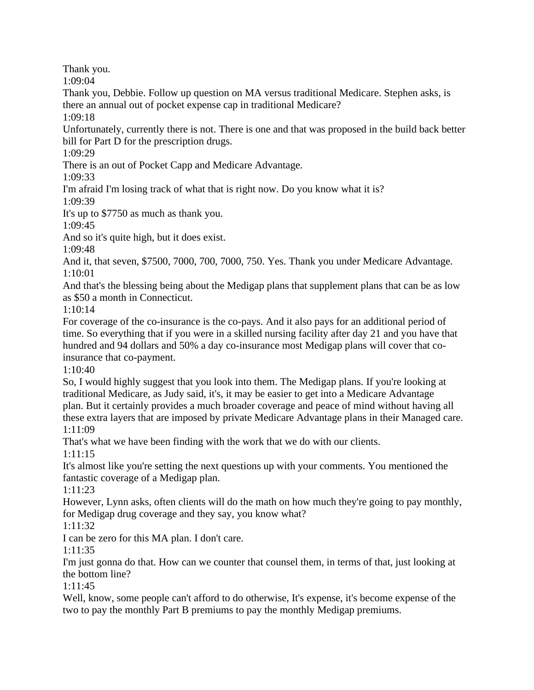Thank you.

1:09:04

Thank you, Debbie. Follow up question on MA versus traditional Medicare. Stephen asks, is there an annual out of pocket expense cap in traditional Medicare?

1:09:18

Unfortunately, currently there is not. There is one and that was proposed in the build back better bill for Part D for the prescription drugs.

1:09:29

There is an out of Pocket Capp and Medicare Advantage.

1:09:33

I'm afraid I'm losing track of what that is right now. Do you know what it is?

1:09:39

It's up to \$7750 as much as thank you.

1:09:45

And so it's quite high, but it does exist.

1:09:48

And it, that seven, \$7500, 7000, 700, 7000, 750. Yes. Thank you under Medicare Advantage. 1:10:01

And that's the blessing being about the Medigap plans that supplement plans that can be as low as \$50 a month in Connecticut.

1:10:14

For coverage of the co-insurance is the co-pays. And it also pays for an additional period of time. So everything that if you were in a skilled nursing facility after day 21 and you have that hundred and 94 dollars and 50% a day co-insurance most Medigap plans will cover that coinsurance that co-payment.

1:10:40

So, I would highly suggest that you look into them. The Medigap plans. If you're looking at traditional Medicare, as Judy said, it's, it may be easier to get into a Medicare Advantage plan. But it certainly provides a much broader coverage and peace of mind without having all these extra layers that are imposed by private Medicare Advantage plans in their Managed care. 1:11:09

That's what we have been finding with the work that we do with our clients.

1:11:15

It's almost like you're setting the next questions up with your comments. You mentioned the fantastic coverage of a Medigap plan.

1:11:23

However, Lynn asks, often clients will do the math on how much they're going to pay monthly, for Medigap drug coverage and they say, you know what?

1:11:32

I can be zero for this MA plan. I don't care.

1:11:35

I'm just gonna do that. How can we counter that counsel them, in terms of that, just looking at the bottom line?

1:11:45

Well, know, some people can't afford to do otherwise, It's expense, it's become expense of the two to pay the monthly Part B premiums to pay the monthly Medigap premiums.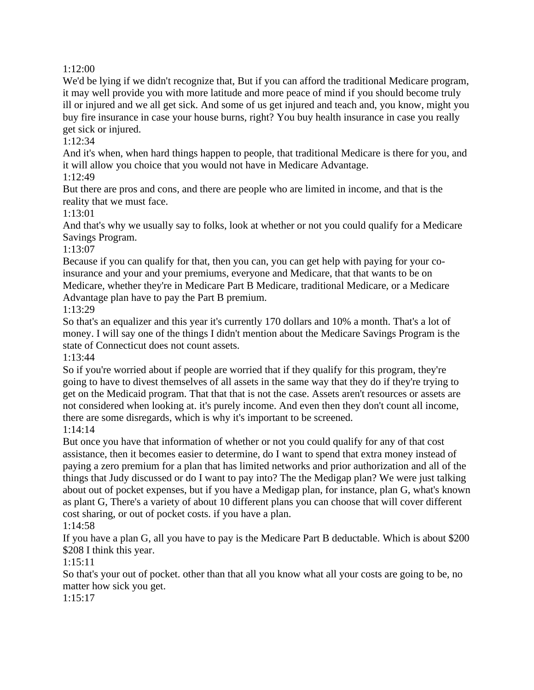#### 1:12:00

We'd be lying if we didn't recognize that, But if you can afford the traditional Medicare program, it may well provide you with more latitude and more peace of mind if you should become truly ill or injured and we all get sick. And some of us get injured and teach and, you know, might you buy fire insurance in case your house burns, right? You buy health insurance in case you really get sick or injured.

#### 1:12:34

And it's when, when hard things happen to people, that traditional Medicare is there for you, and it will allow you choice that you would not have in Medicare Advantage.

#### 1:12:49

But there are pros and cons, and there are people who are limited in income, and that is the reality that we must face.

## 1:13:01

And that's why we usually say to folks, look at whether or not you could qualify for a Medicare Savings Program.

## 1:13:07

Because if you can qualify for that, then you can, you can get help with paying for your coinsurance and your and your premiums, everyone and Medicare, that that wants to be on Medicare, whether they're in Medicare Part B Medicare, traditional Medicare, or a Medicare Advantage plan have to pay the Part B premium.

1:13:29

So that's an equalizer and this year it's currently 170 dollars and 10% a month. That's a lot of money. I will say one of the things I didn't mention about the Medicare Savings Program is the state of Connecticut does not count assets.

1:13:44

So if you're worried about if people are worried that if they qualify for this program, they're going to have to divest themselves of all assets in the same way that they do if they're trying to get on the Medicaid program. That that that is not the case. Assets aren't resources or assets are not considered when looking at. it's purely income. And even then they don't count all income, there are some disregards, which is why it's important to be screened.

1:14:14

But once you have that information of whether or not you could qualify for any of that cost assistance, then it becomes easier to determine, do I want to spend that extra money instead of paying a zero premium for a plan that has limited networks and prior authorization and all of the things that Judy discussed or do I want to pay into? The the Medigap plan? We were just talking about out of pocket expenses, but if you have a Medigap plan, for instance, plan G, what's known as plant G, There's a variety of about 10 different plans you can choose that will cover different cost sharing, or out of pocket costs. if you have a plan.

# 1:14:58

If you have a plan G, all you have to pay is the Medicare Part B deductable. Which is about \$200 \$208 I think this year.

# 1:15:11

So that's your out of pocket. other than that all you know what all your costs are going to be, no matter how sick you get.

1:15:17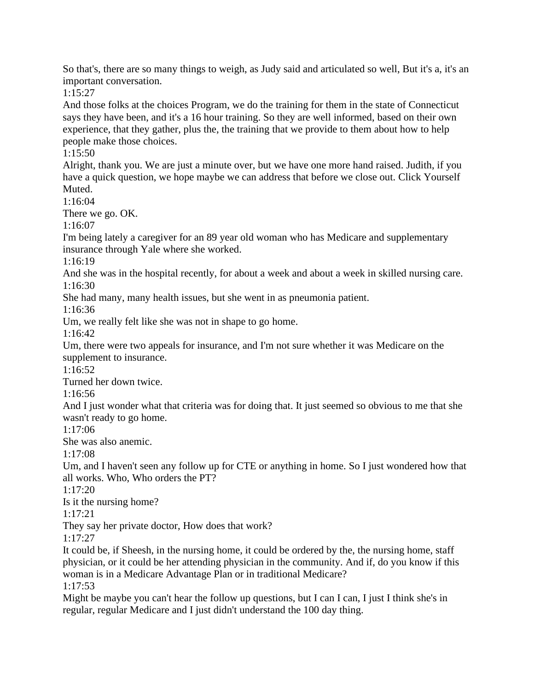So that's, there are so many things to weigh, as Judy said and articulated so well, But it's a, it's an important conversation.

1:15:27

And those folks at the choices Program, we do the training for them in the state of Connecticut says they have been, and it's a 16 hour training. So they are well informed, based on their own experience, that they gather, plus the, the training that we provide to them about how to help people make those choices.

1:15:50

Alright, thank you. We are just a minute over, but we have one more hand raised. Judith, if you have a quick question, we hope maybe we can address that before we close out. Click Yourself Muted.

1:16:04

There we go. OK.

1:16:07

I'm being lately a caregiver for an 89 year old woman who has Medicare and supplementary insurance through Yale where she worked.

1:16:19

And she was in the hospital recently, for about a week and about a week in skilled nursing care. 1:16:30

She had many, many health issues, but she went in as pneumonia patient.

1:16:36

Um, we really felt like she was not in shape to go home.

1:16:42

Um, there were two appeals for insurance, and I'm not sure whether it was Medicare on the supplement to insurance.

1:16:52

Turned her down twice.

1:16:56

And I just wonder what that criteria was for doing that. It just seemed so obvious to me that she wasn't ready to go home.

1:17:06

She was also anemic.

1:17:08

Um, and I haven't seen any follow up for CTE or anything in home. So I just wondered how that all works. Who, Who orders the PT?

1:17:20

Is it the nursing home?

1:17:21

They say her private doctor, How does that work?

1:17:27

It could be, if Sheesh, in the nursing home, it could be ordered by the, the nursing home, staff physician, or it could be her attending physician in the community. And if, do you know if this woman is in a Medicare Advantage Plan or in traditional Medicare?

1:17:53

Might be maybe you can't hear the follow up questions, but I can I can, I just I think she's in regular, regular Medicare and I just didn't understand the 100 day thing.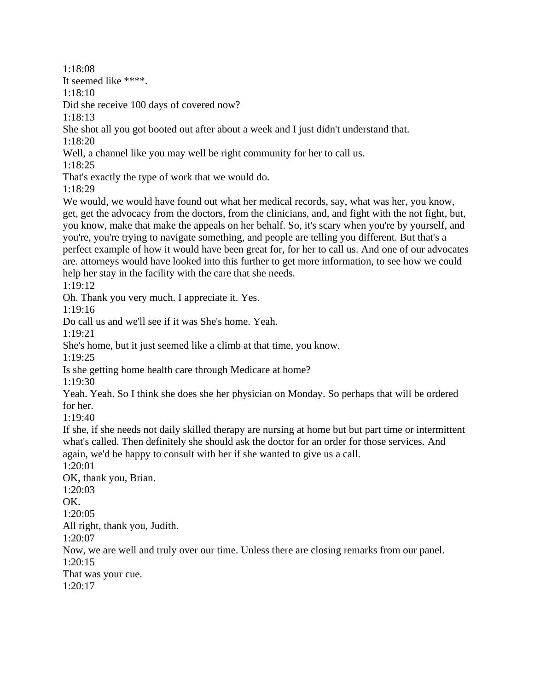1:18:08

It seemed like \*\*\*\*.

1:18:10

Did she receive 100 days of covered now?

1:18:13

She shot all you got booted out after about a week and I just didn't understand that. 1:18:20

Well, a channel like you may well be right community for her to call us.

1:18:25

That's exactly the type of work that we would do.

1:18:29

We would, we would have found out what her medical records, say, what was her, you know, get, get the advocacy from the doctors, from the clinicians, and, and fight with the not fight, but, you know, make that make the appeals on her behalf. So, it's scary when you're by yourself, and you're, you're trying to navigate something, and people are telling you different. But that's a perfect example of how it would have been great for, for her to call us. And one of our advocates are. attorneys would have looked into this further to get more information, to see how we could help her stay in the facility with the care that she needs.

1:19:12

Oh. Thank you very much. I appreciate it. Yes.

1:19:16

Do call us and we'll see if it was She's home. Yeah.

1:19:21

She's home, but it just seemed like a climb at that time, you know.

1:19:25

Is she getting home health care through Medicare at home?

1:19:30

Yeah. Yeah. So I think she does she her physician on Monday. So perhaps that will be ordered for her.

1:19:40

If she, if she needs not daily skilled therapy are nursing at home but but part time or intermittent what's called. Then definitely she should ask the doctor for an order for those services. And again, we'd be happy to consult with her if she wanted to give us a call.

1:20:01

OK, thank you, Brian. 1:20:03 OK. 1:20:05 All right, thank you, Judith. 1:20:07 Now, we are well and truly over our time. Unless there are closing remarks from our panel. 1:20:15 That was your cue. 1:20:17